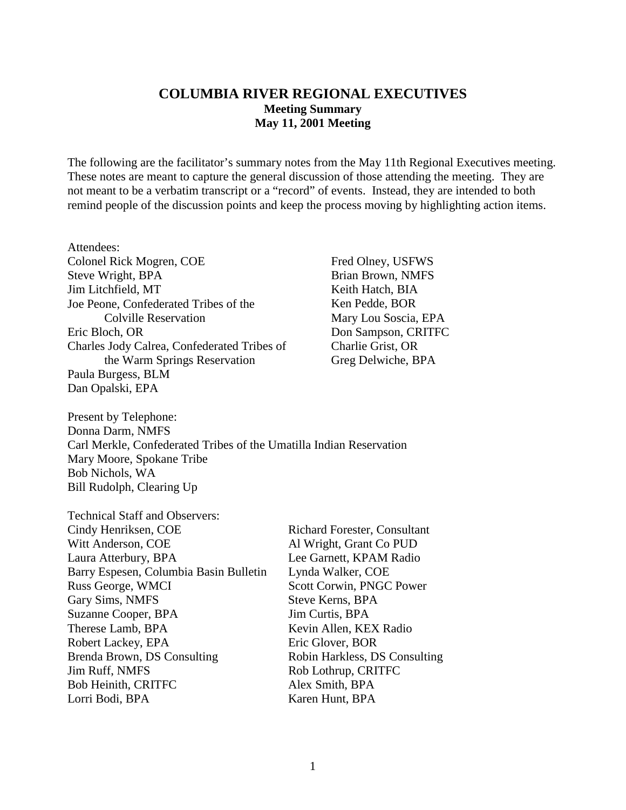### **COLUMBIA RIVER REGIONAL EXECUTIVES Meeting Summary May 11, 2001 Meeting**

The following are the facilitator's summary notes from the May 11th Regional Executives meeting. These notes are meant to capture the general discussion of those attending the meeting. They are not meant to be a verbatim transcript or a "record" of events. Instead, they are intended to both remind people of the discussion points and keep the process moving by highlighting action items.

Attendees: Colonel Rick Mogren, COE Steve Wright, BPA Jim Litchfield, MT Joe Peone, Confederated Tribes of the Colville Reservation Eric Bloch, OR Charles Jody Calrea, Confederated Tribes of the Warm Springs Reservation Paula Burgess, BLM Dan Opalski, EPA

Fred Olney, USFWS Brian Brown, NMFS Keith Hatch, BIA Ken Pedde, BOR Mary Lou Soscia, EPA Don Sampson, CRITFC Charlie Grist, OR Greg Delwiche, BPA

Present by Telephone: Donna Darm, NMFS Carl Merkle, Confederated Tribes of the Umatilla Indian Reservation Mary Moore, Spokane Tribe Bob Nichols, WA Bill Rudolph, Clearing Up

| <b>Technical Staff and Observers:</b>  |                                     |
|----------------------------------------|-------------------------------------|
| Cindy Henriksen, COE                   | <b>Richard Forester, Consultant</b> |
| Witt Anderson, COE                     | Al Wright, Grant Co PUD             |
| Laura Atterbury, BPA                   | Lee Garnett, KPAM Radio             |
| Barry Espesen, Columbia Basin Bulletin | Lynda Walker, COE                   |
| Russ George, WMCI                      | Scott Corwin, PNGC Power            |
| Gary Sims, NMFS                        | Steve Kerns, BPA                    |
| Suzanne Cooper, BPA                    | Jim Curtis, BPA                     |
| Therese Lamb, BPA                      | Kevin Allen, KEX Radio              |
| Robert Lackey, EPA                     | Eric Glover, BOR                    |
| Brenda Brown, DS Consulting            | Robin Harkless, DS Consulting       |
| Jim Ruff, NMFS                         | Rob Lothrup, CRITFC                 |
| Bob Heinith, CRITFC                    | Alex Smith, BPA                     |
| Lorri Bodi, BPA                        | Karen Hunt, BPA                     |
|                                        |                                     |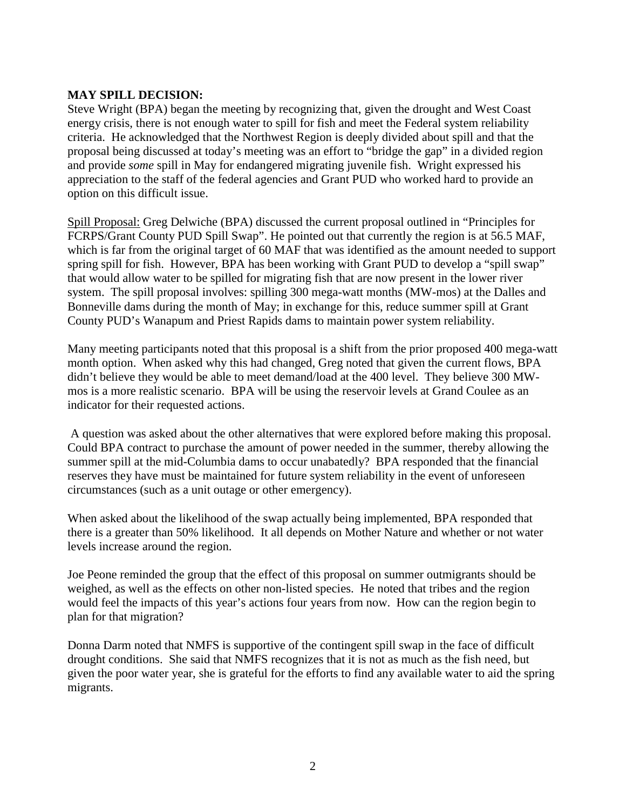#### **MAY SPILL DECISION:**

Steve Wright (BPA) began the meeting by recognizing that, given the drought and West Coast energy crisis, there is not enough water to spill for fish and meet the Federal system reliability criteria. He acknowledged that the Northwest Region is deeply divided about spill and that the proposal being discussed at today's meeting was an effort to "bridge the gap" in a divided region and provide *some* spill in May for endangered migrating juvenile fish. Wright expressed his appreciation to the staff of the federal agencies and Grant PUD who worked hard to provide an option on this difficult issue.

Spill Proposal: Greg Delwiche (BPA) discussed the current proposal outlined in "Principles for FCRPS/Grant County PUD Spill Swap". He pointed out that currently the region is at 56.5 MAF, which is far from the original target of 60 MAF that was identified as the amount needed to support spring spill for fish. However, BPA has been working with Grant PUD to develop a "spill swap" that would allow water to be spilled for migrating fish that are now present in the lower river system. The spill proposal involves: spilling 300 mega-watt months (MW-mos) at the Dalles and Bonneville dams during the month of May; in exchange for this, reduce summer spill at Grant County PUD's Wanapum and Priest Rapids dams to maintain power system reliability.

Many meeting participants noted that this proposal is a shift from the prior proposed 400 mega-watt month option. When asked why this had changed, Greg noted that given the current flows, BPA didn't believe they would be able to meet demand/load at the 400 level. They believe 300 MWmos is a more realistic scenario. BPA will be using the reservoir levels at Grand Coulee as an indicator for their requested actions.

 A question was asked about the other alternatives that were explored before making this proposal. Could BPA contract to purchase the amount of power needed in the summer, thereby allowing the summer spill at the mid-Columbia dams to occur unabatedly? BPA responded that the financial reserves they have must be maintained for future system reliability in the event of unforeseen circumstances (such as a unit outage or other emergency).

When asked about the likelihood of the swap actually being implemented, BPA responded that there is a greater than 50% likelihood. It all depends on Mother Nature and whether or not water levels increase around the region.

Joe Peone reminded the group that the effect of this proposal on summer outmigrants should be weighed, as well as the effects on other non-listed species. He noted that tribes and the region would feel the impacts of this year's actions four years from now. How can the region begin to plan for that migration?

Donna Darm noted that NMFS is supportive of the contingent spill swap in the face of difficult drought conditions. She said that NMFS recognizes that it is not as much as the fish need, but given the poor water year, she is grateful for the efforts to find any available water to aid the spring migrants.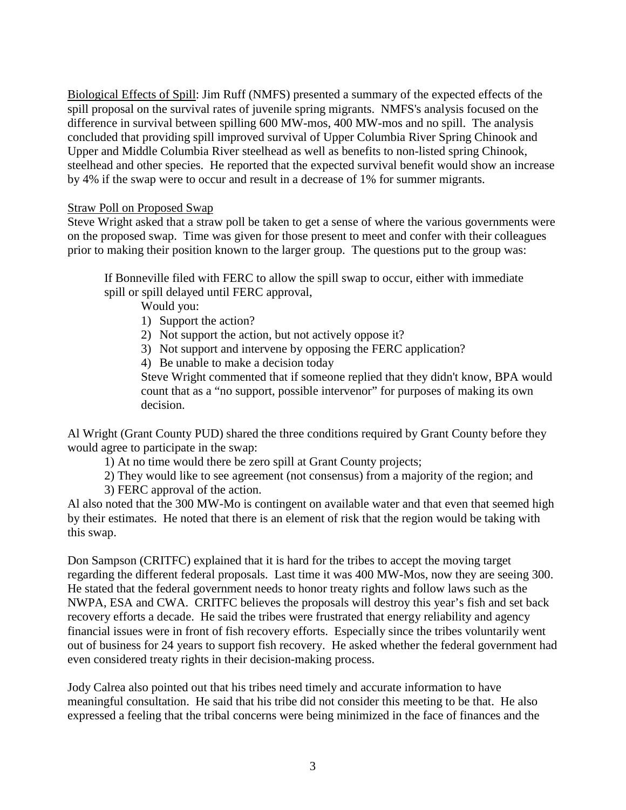Biological Effects of Spill: Jim Ruff (NMFS) presented a summary of the expected effects of the spill proposal on the survival rates of juvenile spring migrants. NMFS's analysis focused on the difference in survival between spilling 600 MW-mos, 400 MW-mos and no spill. The analysis concluded that providing spill improved survival of Upper Columbia River Spring Chinook and Upper and Middle Columbia River steelhead as well as benefits to non-listed spring Chinook, steelhead and other species. He reported that the expected survival benefit would show an increase by 4% if the swap were to occur and result in a decrease of 1% for summer migrants.

#### Straw Poll on Proposed Swap

Steve Wright asked that a straw poll be taken to get a sense of where the various governments were on the proposed swap. Time was given for those present to meet and confer with their colleagues prior to making their position known to the larger group. The questions put to the group was:

If Bonneville filed with FERC to allow the spill swap to occur, either with immediate spill or spill delayed until FERC approval,

Would you:

- 1) Support the action?
- 2) Not support the action, but not actively oppose it?
- 3) Not support and intervene by opposing the FERC application?
- 4) Be unable to make a decision today

Steve Wright commented that if someone replied that they didn't know, BPA would count that as a "no support, possible intervenor" for purposes of making its own decision.

Al Wright (Grant County PUD) shared the three conditions required by Grant County before they would agree to participate in the swap:

1) At no time would there be zero spill at Grant County projects;

2) They would like to see agreement (not consensus) from a majority of the region; and

3) FERC approval of the action.

Al also noted that the 300 MW-Mo is contingent on available water and that even that seemed high by their estimates. He noted that there is an element of risk that the region would be taking with this swap.

Don Sampson (CRITFC) explained that it is hard for the tribes to accept the moving target regarding the different federal proposals. Last time it was 400 MW-Mos, now they are seeing 300. He stated that the federal government needs to honor treaty rights and follow laws such as the NWPA, ESA and CWA. CRITFC believes the proposals will destroy this year's fish and set back recovery efforts a decade. He said the tribes were frustrated that energy reliability and agency financial issues were in front of fish recovery efforts. Especially since the tribes voluntarily went out of business for 24 years to support fish recovery. He asked whether the federal government had even considered treaty rights in their decision-making process.

Jody Calrea also pointed out that his tribes need timely and accurate information to have meaningful consultation. He said that his tribe did not consider this meeting to be that. He also expressed a feeling that the tribal concerns were being minimized in the face of finances and the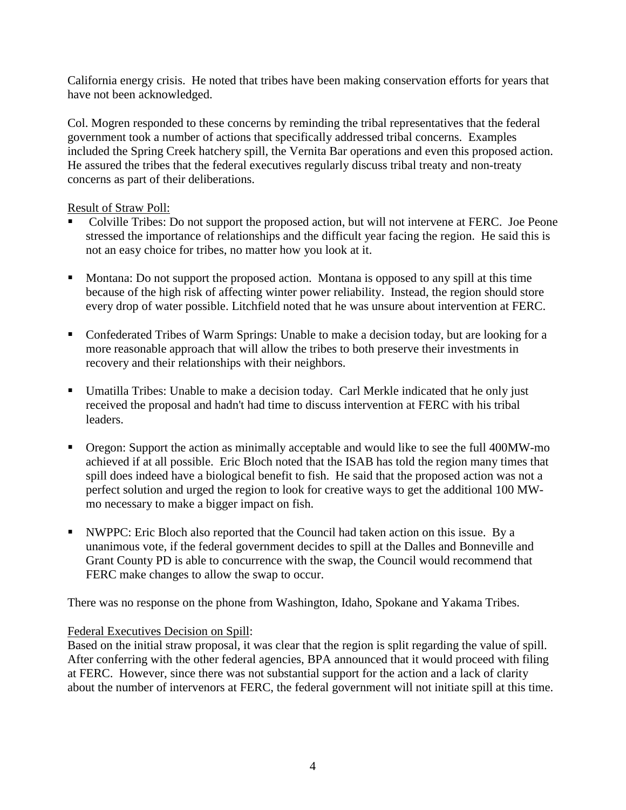California energy crisis. He noted that tribes have been making conservation efforts for years that have not been acknowledged.

Col. Mogren responded to these concerns by reminding the tribal representatives that the federal government took a number of actions that specifically addressed tribal concerns. Examples included the Spring Creek hatchery spill, the Vernita Bar operations and even this proposed action. He assured the tribes that the federal executives regularly discuss tribal treaty and non-treaty concerns as part of their deliberations.

#### Result of Straw Poll:

- Colville Tribes: Do not support the proposed action, but will not intervene at FERC. Joe Peone stressed the importance of relationships and the difficult year facing the region. He said this is not an easy choice for tribes, no matter how you look at it.
- Montana: Do not support the proposed action. Montana is opposed to any spill at this time because of the high risk of affecting winter power reliability. Instead, the region should store every drop of water possible. Litchfield noted that he was unsure about intervention at FERC.
- Confederated Tribes of Warm Springs: Unable to make a decision today, but are looking for a more reasonable approach that will allow the tribes to both preserve their investments in recovery and their relationships with their neighbors.
- Umatilla Tribes: Unable to make a decision today. Carl Merkle indicated that he only just received the proposal and hadn't had time to discuss intervention at FERC with his tribal leaders.
- Oregon: Support the action as minimally acceptable and would like to see the full 400MW-mo achieved if at all possible. Eric Bloch noted that the ISAB has told the region many times that spill does indeed have a biological benefit to fish. He said that the proposed action was not a perfect solution and urged the region to look for creative ways to get the additional 100 MWmo necessary to make a bigger impact on fish.
- NWPPC: Eric Bloch also reported that the Council had taken action on this issue. By a unanimous vote, if the federal government decides to spill at the Dalles and Bonneville and Grant County PD is able to concurrence with the swap, the Council would recommend that FERC make changes to allow the swap to occur.

There was no response on the phone from Washington, Idaho, Spokane and Yakama Tribes.

### Federal Executives Decision on Spill:

Based on the initial straw proposal, it was clear that the region is split regarding the value of spill. After conferring with the other federal agencies, BPA announced that it would proceed with filing at FERC. However, since there was not substantial support for the action and a lack of clarity about the number of intervenors at FERC, the federal government will not initiate spill at this time.